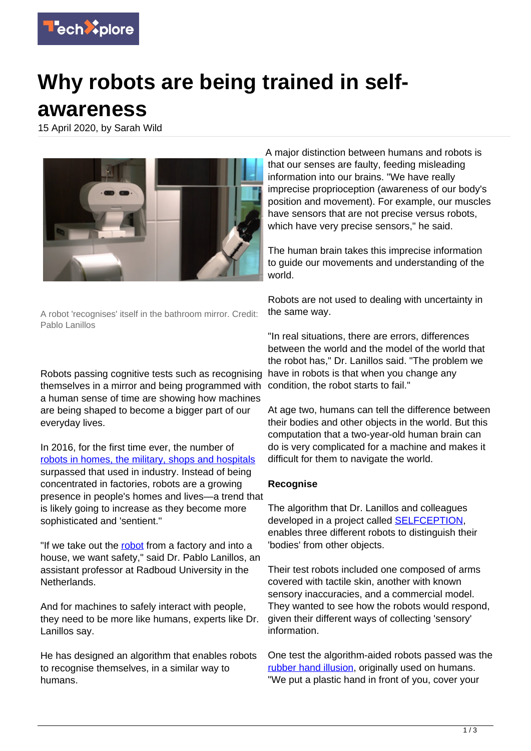

## **Why robots are being trained in selfawareness**

15 April 2020, by Sarah Wild



A robot 'recognises' itself in the bathroom mirror. Credit: Pablo Lanillos

Robots passing cognitive tests such as recognising themselves in a mirror and being programmed with a human sense of time are showing how machines are being shaped to become a bigger part of our everyday lives.

In 2016, for the first time ever, the number of [robots in homes, the military, shops and hospitals](https://www.technative.io/non-industrial-robots-overtake-industrial-robots-market-size-first-time/) surpassed that used in industry. Instead of being concentrated in factories, robots are a growing presence in people's homes and lives—a trend that is likely going to increase as they become more sophisticated and 'sentient."

"If we take out the [robot](https://techxplore.com/tags/robot/) from a factory and into a house, we want safety," said Dr. Pablo Lanillos, an assistant professor at Radboud University in the Netherlands.

And for machines to safely interact with people, they need to be more like humans, experts like Dr. Lanillos say.

He has designed an algorithm that enables robots to recognise themselves, in a similar way to humans.

A major distinction between humans and robots is that our senses are faulty, feeding misleading information into our brains. "We have really imprecise proprioception (awareness of our body's position and movement). For example, our muscles have sensors that are not precise versus robots, which have very precise sensors," he said.

The human brain takes this imprecise information to guide our movements and understanding of the world.

Robots are not used to dealing with uncertainty in the same way.

"In real situations, there are errors, differences between the world and the model of the world that the robot has," Dr. Lanillos said. "The problem we have in robots is that when you change any condition, the robot starts to fail."

At age two, humans can tell the difference between their bodies and other objects in the world. But this computation that a two-year-old human brain can do is very complicated for a machine and makes it difficult for them to navigate the world.

## **Recognise**

The algorithm that Dr. Lanillos and colleagues developed in a project called **[SELFCEPTION](https://cordis.europa.eu/project/rcn/209516/results/en)**, enables three different robots to distinguish their 'bodies' from other objects.

Their test robots included one composed of arms covered with tactile skin, another with known sensory inaccuracies, and a commercial model. They wanted to see how the robots would respond, given their different ways of collecting 'sensory' information.

One test the algorithm-aided robots passed was the [rubber hand illusion](https://www.jove.com/science-education/10291/the-rubber-hand-illusion), originally used on humans. "We put a plastic hand in front of you, cover your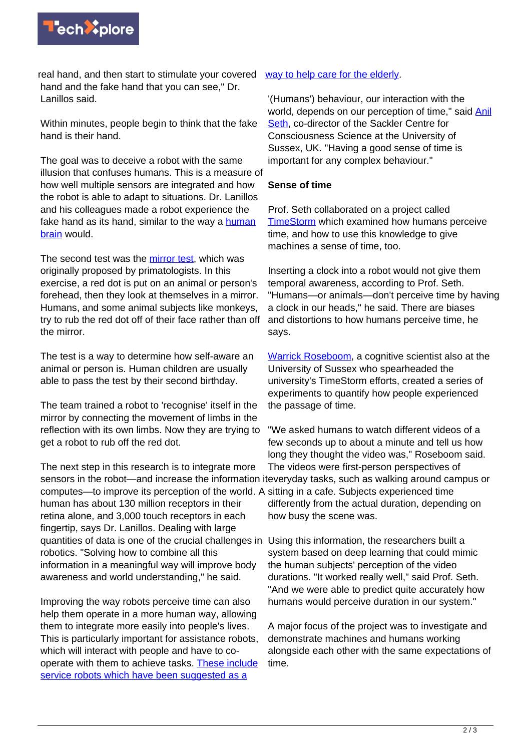

real hand, and then start to stimulate your covered hand and the fake hand that you can see," Dr. Lanillos said.

Within minutes, people begin to think that the fake hand is their hand.

The goal was to deceive a robot with the same illusion that confuses humans. This is a measure of how well multiple sensors are integrated and how the robot is able to adapt to situations. Dr. Lanillos and his colleagues made a robot experience the fake hand as its hand, similar to the way a [human](https://techxplore.com/tags/human+brain/) [brain](https://techxplore.com/tags/human+brain/) would.

The second test was the [mirror test](https://www.pnas.org/content/114/13/3281), which was originally proposed by primatologists. In this exercise, a red dot is put on an animal or person's forehead, then they look at themselves in a mirror. Humans, and some animal subjects like monkeys, try to rub the red dot off of their face rather than off the mirror.

The test is a way to determine how self-aware an animal or person is. Human children are usually able to pass the test by their second birthday.

The team trained a robot to 'recognise' itself in the mirror by connecting the movement of limbs in the reflection with its own limbs. Now they are trying to get a robot to rub off the red dot.

The next step in this research is to integrate more computes—to improve its perception of the world. A sitting in a cafe. Subjects experienced time human has about 130 million receptors in their retina alone, and 3,000 touch receptors in each fingertip, says Dr. Lanillos. Dealing with large quantities of data is one of the crucial challenges in Using this information, the researchers built a robotics. "Solving how to combine all this information in a meaningful way will improve body awareness and world understanding," he said.

Improving the way robots perceive time can also help them operate in a more human way, allowing them to integrate more easily into people's lives. This is particularly important for assistance robots, which will interact with people and have to cooperate with them to achieve tasks. [These include](https://qz.com/1367213/robots-could-save-the-world-from-its-aging-problem/) [service robots which have been suggested as a](https://qz.com/1367213/robots-could-save-the-world-from-its-aging-problem/)

## [way to help care for the elderly](https://qz.com/1367213/robots-could-save-the-world-from-its-aging-problem/).

'(Humans') behaviour, our interaction with the world, depends on our perception of time," said **Anil** [Seth](https://www.anilseth.com/), co-director of the Sackler Centre for Consciousness Science at the University of Sussex, UK. "Having a good sense of time is important for any complex behaviour."

## **Sense of time**

Prof. Seth collaborated on a project called [TimeStorm](https://cordis.europa.eu/project/rcn/193781/en) which examined how humans perceive time, and how to use this knowledge to give machines a sense of time, too.

Inserting a clock into a robot would not give them temporal awareness, according to Prof. Seth. "Humans—or animals—don't perceive time by having a clock in our heads," he said. There are biases and distortions to how humans perceive time, he says.

[Warrick Roseboom,](http://www.warrickroseboom.com/) a cognitive scientist also at the University of Sussex who spearheaded the university's TimeStorm efforts, created a series of experiments to quantify how people experienced the passage of time.

sensors in the robot—and increase the information it everyday tasks, such as walking around campus or "We asked humans to watch different videos of a few seconds up to about a minute and tell us how long they thought the video was," Roseboom said. The videos were first-person perspectives of differently from the actual duration, depending on how busy the scene was.

> system based on deep learning that could mimic the human subjects' perception of the video durations. "It worked really well," said Prof. Seth. "And we were able to predict quite accurately how humans would perceive duration in our system."

A major focus of the project was to investigate and demonstrate machines and humans working alongside each other with the same expectations of time.